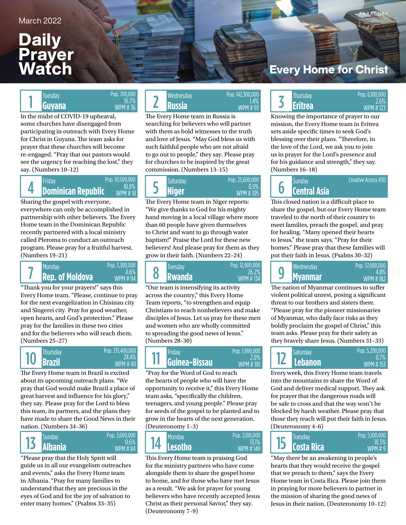## **Daily** Prayer Watch

### PARAGUAY

In the midst of COVID-19 upheaval, some churches have disengaged from participating in outreach with Every Home for Christ in Guyana. The team asks for prayer that these churches will become re-engaged. "Pray that our pastors would see the urgency for reaching the lost," they say. (Numbers 10–12)

Pop. 700,000 16.7% WPM # 36

### 4 Pop. 10,500,000 10.8% WPM # 18

Sharing the gospel with everyone, everywhere can only be accomplished in partnership with other believers. The Every Home team in the Dominican Republic recently partnered with a local ministry called Pleroma to conduct an outreach program. Please pray for a fruitful harvest. (Numbers 19–21)

### **Rep. of Moldova RWANGALL COMPROMISTION** Pop. 3,300,000 4.6% WPM # 94 7

"Thank you for your prayers!" says this Every Home team. "Please, continue to pray for the next evangelization in Chisinau city and Sîngerei city. Pray for good weather, open hearts, and God's protection." Please pray for the families in these two cities and for the believers who will reach them. (Numbers 25–27)



The Every Home team in Brazil is excited about its upcoming outreach plans. "We pray that God would make Brazil a place of great harvest and influence for his glory," they say. Please pray for the Lord to bless this team, its partners, and the plans they have made to share the Good News in their nation. (Numbers 34–36)



"Please pray that the Holy Spirit will guide us in all our evangelism outreaches and events," asks the Every Home team in Albania. "Pray for many families to understand that they are precious in the eyes of God and for the joy of salvation to enter many homes." (Psalms 33–35)

### Iuesday **CONSIDENT CONSIDER SOLUTION CONTROL** PUP POP 142,500,000<br> **Guyana** 34% **SOLUTION** WPM # 36 **PUSSIA Russia** WPM # 93 **Russia** Tuesday Wednesday Thursday Pop. 6,100,000 1 2 Pop. 142,300,000 WPM # 93

The Every Home team in Russia is searching for believers who will partner with them as bold witnesses to the truth and love of Jesus. "May God bless us with such faithful people who are not afraid to go out to people," they say. Please pray for churches to be inspired by the great commission. (Numbers 13–15)

| Friday                    | Pop. 10.500.000         | Saturdavi | Pop. 23,600,000 |  | Sundav              |
|---------------------------|-------------------------|-----------|-----------------|--|---------------------|
| <b>Dominican Republic</b> | 10.8%<br><b>WPM#181</b> | Niger     |                 |  | <b>Central Asia</b> |

The Every Home team in Niger reports: "We give thanks to God for his mighty hand moving in a local village where more than 60 people have given themselves to Christ and want to go through water baptism!" Praise the Lord for these new believers! And please pray for them as they grow in their faith. (Numbers 22–24)



"Our team is intensifying its activity across the country," this Every Home Team reports, "to strengthen and equip Christians to reach nonbelievers and make disciples of Jesus. Let us pray for these men and women who are wholly committed to spreading the good news of Jesus." (Numbers 28–30)

#### **Brazil Guinea-Bissau Annualisme Lebanon** Thursday Friday Saturday 2.0% WPM # 110 11 Pop. 1,900,000

"Pray for the Word of God to reach the hearts of people who will have the opportunity to receive it," this Every Home team asks, "specifically the children, teenagers, and young people." Please pray for seeds of the gospel to be planted and to grow in the hearts of the next generation. (Deuteronomy 1–3)

| <b>Sunday</b> | Pop. 3.000.000<br>0.6% | Monday         | Pop. 2,100,000<br>13.1% | Tuesdav      |
|---------------|------------------------|----------------|-------------------------|--------------|
| Albania       | <b>WPM #84</b>         | <b>Lesotho</b> | <b>WPM #149</b>         | <b>Costa</b> |

This Every Home team is praising God for the ministry partners who have come alongside them to share the gospel home to home, and for those who have met Jesus as a result. "We ask for prayer for young believers who have recently accepted Jesus Christ as their personal Savior," they say. (Deuteronomy 7–9)

## **Every Home for Christ**

# 2.6% **Eritrea**

1.4%

WPM #173

Creative Access #30

Knowing the importance of prayer to our mission, the Every Home team in Eritrea sets aside specific times to seek God's blessing over their plans. "Therefore, in the love of the Lord, we ask you to join us in prayer for the Lord's presence and for his guidance and strength," they say. (Numbers 16–18)

# 6

This closed nation is a difficult place to share the gospel, but our Every Home team traveled to the north of their country to meet families, preach the gospel, and pray for healing. "Many opened their hearts to Jesus," the team says. "Pray for their homes." Please pray that these families will put their faith in Jesus. (Psalms 30–32)

| Wednesday      | Pop. 57,000,000 |
|----------------|-----------------|
| q              | 48%             |
| <b>Myanmar</b> | WPM #182        |

The nation of Myanmar continues to suffer violent political unrest, posing a significant threat to our brothers and sisters there. "Please pray for the pioneer missionaries of Myanmar, who daily face risks as they boldly proclaim the gospel of Christ," this team asks. Please pray for their safety as they bravely share Jesus. (Numbers 31–33)



Every week, this Every Home team travels into the mountains to share the Word of God and deliver medical support. They ask for prayer that the dangerous roads will be safe to cross and that the way won't be blocked by harsh weather. Please pray that those they reach will put their faith in Jesus. (Deuteronomy 4–6)



"May there be an awakening in people's hearts that they would receive the gospel that we preach to them," says the Every Home team in Costa Rica. Please join them in praying for more believers to partner in the mission of sharing the good news of Jesus in their nation. (Deuteronomy 10–12)